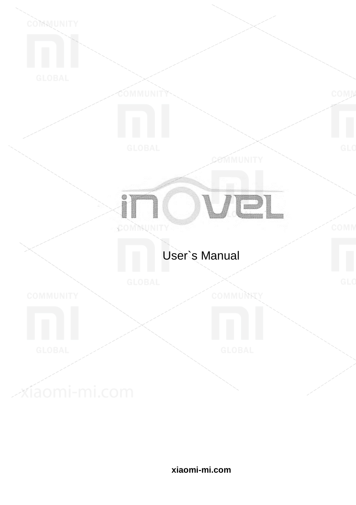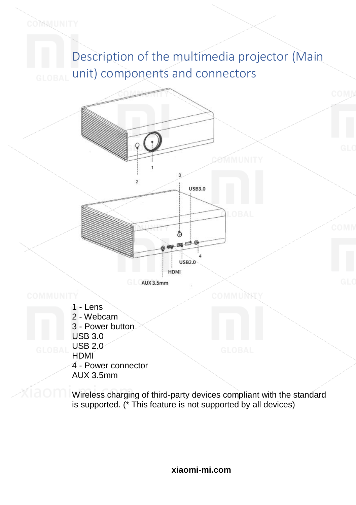Description of the multimedia projector (Main unit) components and connectors



COMMUNITY

- 1 Lens
- 2 Webcam
- 3 Power button
- USB 3.0
- USB 2.0
- **HDMI**
- 4 Power connector
- AUX 3.5mm

Wireless charging of third-party devices compliant with the standard is supported. (\* This feature is not supported by all devices)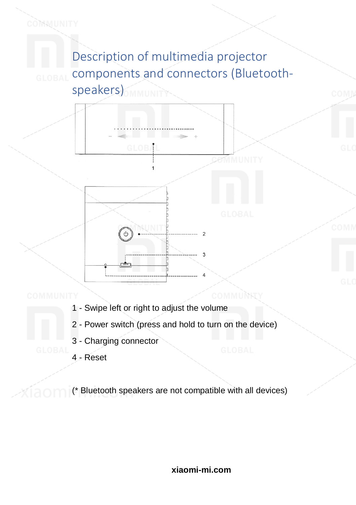Description of multimedia projector components and connectors (Bluetoothspeakers) **MMUNITY** 



an an Dùbhlach an Sao

COMMUNITY

- 1 Swipe left or right to adjust the volume
- 2 Power switch (press and hold to turn on the device)
- 3 Charging connector
- 4 Reset

(\* Bluetooth speakers are not compatible with all devices)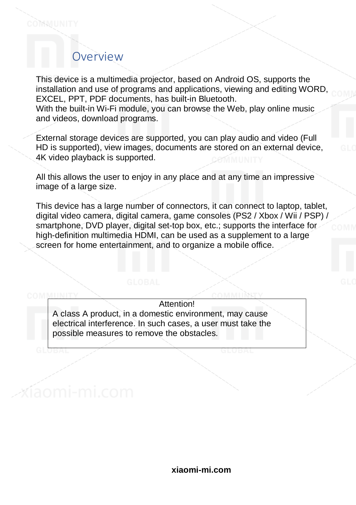#### Overview

This device is a multimedia projector, based on Android OS, supports the installation and use of programs and applications, viewing and editing WORD, EXCEL, PPT, PDF documents, has built-in Bluetooth.

With the built-in Wi-Fi module, you can browse the Web, play online music and videos, download programs.

External storage devices are supported, you can play audio and video (Full HD is supported), view images, documents are stored on an external device, 4K video playback is supported.

All this allows the user to enjoy in any place and at any time an impressive image of a large size.

This device has a large number of connectors, it can connect to laptop, tablet, digital video camera, digital camera, game consoles (PS2 / Xbox / Wii / PSP) / smartphone, DVD player, digital set-top box, etc.; supports the interface for high-definition multimedia HDMI, can be used as a supplement to a large screen for home entertainment, and to organize a mobile office.

#### Attention!

A class A product, in a domestic environment, may cause electrical interference. In such cases, a user must take the possible measures to remove the obstacles.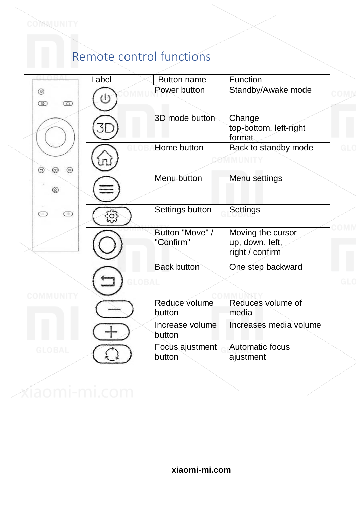## Remote control functions

|                                       | Label    | <b>Button name</b>           | Function                                                |
|---------------------------------------|----------|------------------------------|---------------------------------------------------------|
| $\circledcirc$<br>$\circledcirc$<br>⊙ | $^{(1)}$ | Power button                 | Standby/Awake mode                                      |
|                                       |          | 3D mode button               | Change<br>top-bottom, left-right<br>format              |
| ⊜<br>⊜<br>(30)                        |          | Home button                  | Back to standby mode                                    |
|                                       |          | Menu button                  | Menu settings                                           |
| $\subset$<br>Œ                        |          | Settings button              | Settings                                                |
|                                       |          | Button "Move" /<br>"Confirm" | Moving the cursor<br>up, down, left,<br>right / confirm |
|                                       |          | <b>Back button</b>           | One step backward                                       |
|                                       |          | Reduce volume<br>button      | Reduces volume of<br>media                              |
|                                       |          | Increase volume<br>button    | Increases media volume                                  |
| <b>GLOBAL</b>                         |          | Focus ajustment<br>button    | Automatic focus<br>ajustment                            |

xíaomi-mi.com

COMMUNITY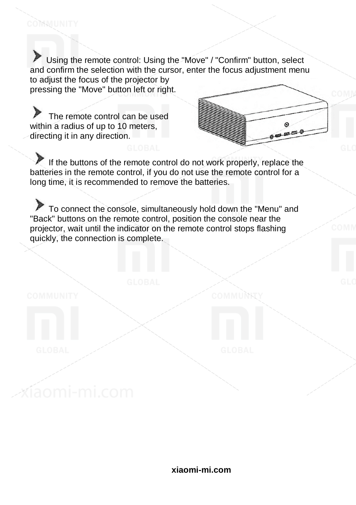Using the remote control: Using the "Move" / "Confirm" button, select and confirm the selection with the cursor, enter the focus adjustment menu to adjust the focus of the projector by pressing the "Move" button left or right.

The remote control can be used within a radius of up to 10 meters. directing it in any direction.

íaomi-mi.com

COMMUNITY

 $\odot$  $B = 1$ 

If the buttons of the remote control do not work properly, replace the batteries in the remote control, if you do not use the remote control for a long time, it is recommended to remove the batteries.

To connect the console, simultaneously hold down the "Menu" and "Back" buttons on the remote control, position the console near the projector, wait until the indicator on the remote control stops flashing quickly, the connection is complete.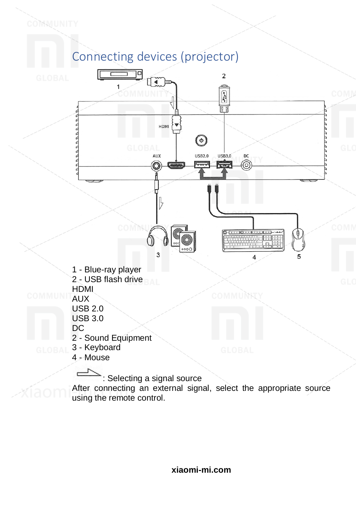

COMMUNITY



After connecting an external signal, select the appropriate source using the remote control.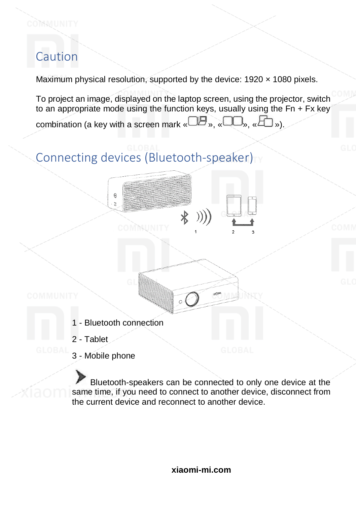### Caution

COMMUNITY

Maximum physical resolution, supported by the device: 1920 x 1080 pixels.

To project an image, displayed on the laptop screen, using the projector, switch to an appropriate mode using the function keys, usually using the Fn + Fx key combination (a key with a screen mark  $\mathbb{C}$  »,  $\mathbb{C}$  »,  $\mathbb{C}$  »).

 $\ast$ 

# Connecting devices (Bluetooth-speaker)

**MNUNIT** 

1 - Bluetooth connection

 $\overline{(\overline{0})}$ 

- 2 Tablet
- 3 Mobile phone

Bluetooth-speakers can be connected to only one device at the same time, if you need to connect to another device, disconnect from the current device and reconnect to another device.